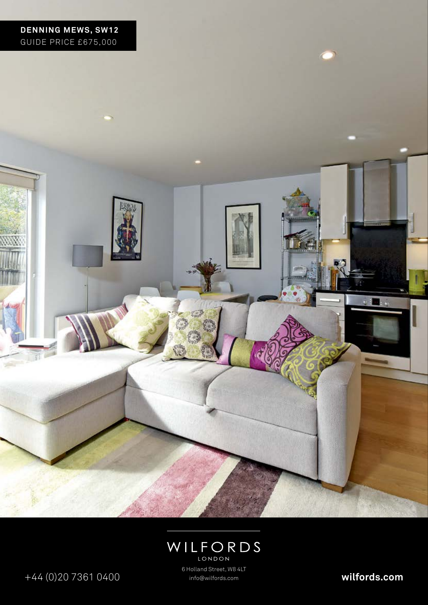



+44 (0)20 7361 0400 **wilfords.com**

6 Holland Street, W8 4LT info@wilfords.com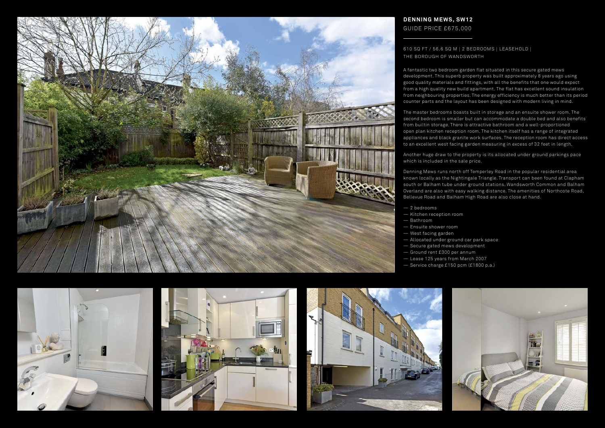A fantastic two bedroom garden flat situated in this secure gated mews development. This superb property was built approximately 8 years ago using good quality materials and fittings, with all the benefits that one would expect from a high quality new build apartment. The flat has excellent sound insulation from neighbouring properties. The energy efficiency is much better than its period counter parts and the layout has been designed with modern living in mind.

The master bedrooms boasts built in storage and an ensuite shower room. The second bedroom is smaller but can accommodate a double bed and also benefits from builtin storage. There is attractive bathroom and a well-proportioned open plan kitchen reception room. The kitchen itself has a range of integrated appliances and black granite work surfaces. The reception room has direct access to an excellent west facing garden measuring in excess of 32 feet in length.

Another huge draw to the property is its allocated under ground parkings pace which is included in the sale price.

Denning Mews runs north off Temperley Road in the popular residential area known locally as the Nightingale Triangle. Transport can been found at Clapham south or Balham tube under ground stations. Wandsworth Common and Balham Overland are also with easy walking distance. The amenities of Northcote Road, Bellevue Road and Balham High Road are also close at hand.

- 2 bedrooms
- Kitchen reception room — Bathroom
- Ensuite shower room
- West facing garden
- Allocated under ground car park space
- Secure gated mews development
- Ground rent £300 per annum
- Lease 125 years from March 2007
- Service charge £150 pcm (£1800 p.a.)











## **DENNING MEWS, SW12** GUIDE PRICE £675,000

## 610 SQ FT / 56.6 SQ M | 2 BEDROOMS | LEASEHOLD | THE BOROUGH OF WANDSWORTH